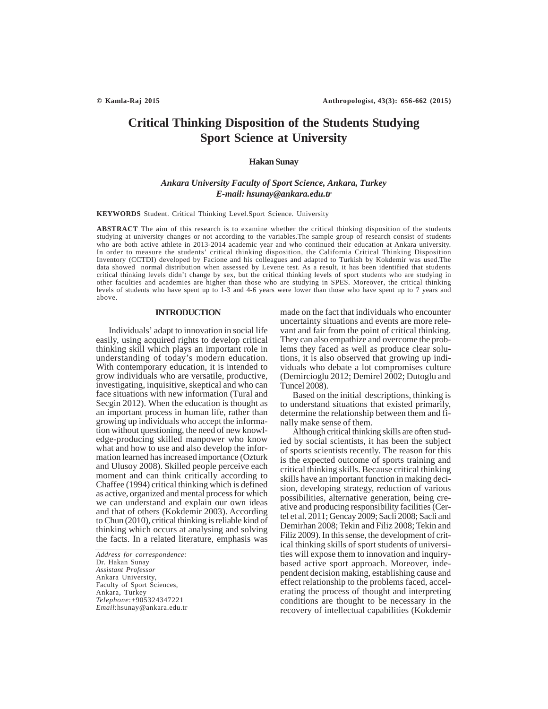# **Critical Thinking Disposition of the Students Studying Sport Science at University**

## **Hakan Sunay**

## *Ankara University Faculty of Sport Science, Ankara, Turkey E-mail: hsunay@ankara.edu.tr*

**KEYWORDS** Student. Critical Thinking Level.Sport Science. University

**ABSTRACT** The aim of this research is to examine whether the critical thinking disposition of the students studying at university changes or not according to the variables.The sample group of research consist of students who are both active athlete in 2013-2014 academic year and who continued their education at Ankara university. In order to measure the students' critical thinking disposition, the California Critical Thinking Disposition Inventory (CCTDI) developed by Facione and his colleagues and adapted to Turkish by Kokdemir was used.The data showed normal distribution when assessed by Levene test. As a result, it has been identified that students critical thinking levels didn't change by sex, but the critical thinking levels of sport students who are studying in other faculties and academies are higher than those who are studying in SPES. Moreover, the critical thinking levels of students who have spent up to 1-3 and 4-6 years were lower than those who have spent up to 7 years and above.

## **INTRODUCTION**

Individuals' adapt to innovation in social life easily, using acquired rights to develop critical thinking skill which plays an important role in understanding of today's modern education. With contemporary education, it is intended to grow individuals who are versatile, productive, investigating, inquisitive, skeptical and who can face situations with new information (Tural and Secgin 2012). When the education is thought as an important process in human life, rather than growing up individuals who accept the information without questioning, the need of new knowledge-producing skilled manpower who know what and how to use and also develop the information learned has increased importance (Ozturk and Ulusoy 2008). Skilled people perceive each moment and can think critically according to Chaffee (1994) critical thinking which is defined as active, organized and mental process for which we can understand and explain our own ideas and that of others (Kokdemir 2003). According to Chun (2010), critical thinking is reliable kind of thinking which occurs at analysing and solving the facts. In a related literature, emphasis was

*Address for correspondence:* Dr. Hakan Sunay *Assistant Professor* Ankara University, Faculty of Sport Sciences, Ankara, Turkey *Telephone*:+905324347221 *Email*:hsunay@ankara.edu.tr made on the fact that individuals who encounter uncertainty situations and events are more relevant and fair from the point of critical thinking. They can also empathize and overcome the problems they faced as well as produce clear solutions, it is also observed that growing up individuals who debate a lot compromises culture (Demircioglu 2012; Demirel 2002; Dutoglu and Tuncel 2008).

Based on the initial descriptions, thinking is to understand situations that existed primarily, determine the relationship between them and finally make sense of them.

Although critical thinking skills are often studied by social scientists, it has been the subject of sports scientists recently. The reason for this is the expected outcome of sports training and critical thinking skills. Because critical thinking skills have an important function in making decision, developing strategy, reduction of various possibilities, alternative generation, being creative and producing responsibility facilities (Certel et al. 2011; Gencay 2009; Sacli 2008; Sacli and Demirhan 2008; Tekin and Filiz 2008; Tekin and Filiz 2009). In this sense, the development of critical thinking skills of sport students of universities will expose them to innovation and inquirybased active sport approach. Moreover, independent decision making, establishing cause and effect relationship to the problems faced, accelerating the process of thought and interpreting conditions are thought to be necessary in the recovery of intellectual capabilities (Kokdemir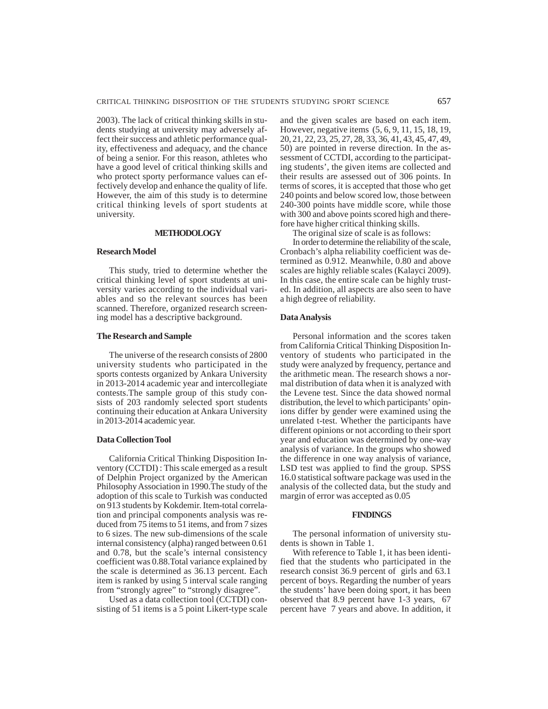2003). The lack of critical thinking skills in students studying at university may adversely affect their success and athletic performance quality, effectiveness and adequacy, and the chance of being a senior. For this reason, athletes who have a good level of critical thinking skills and who protect sporty performance values can effectively develop and enhance the quality of life. However, the aim of this study is to determine critical thinking levels of sport students at university.

## **METHODOLOGY**

## **Research Model**

This study, tried to determine whether the critical thinking level of sport students at university varies according to the individual variables and so the relevant sources has been scanned. Therefore, organized research screening model has a descriptive background.

## **The Research and Sample**

The universe of the research consists of 2800 university students who participated in the sports contests organized by Ankara University in 2013-2014 academic year and intercollegiate contests.The sample group of this study consists of 203 randomly selected sport students continuing their education at Ankara University in 2013-2014 academic year.

## **Data Collection Tool**

California Critical Thinking Disposition Inventory (CCTDI) : This scale emerged as a result of Delphin Project organized by the American Philosophy Association in 1990.The study of the adoption of this scale to Turkish was conducted on 913 students by Kokdemir. Item-total correlation and principal components analysis was reduced from 75 items to 51 items, and from 7 sizes to 6 sizes. The new sub-dimensions of the scale internal consistency (alpha) ranged between 0.61 and 0.78, but the scale's internal consistency coefficient was 0.88.Total variance explained by the scale is determined as 36.13 percent. Each item is ranked by using 5 interval scale ranging from "strongly agree" to "strongly disagree".

Used as a data collection tool (CCTDI) consisting of 51 items is a 5 point Likert-type scale and the given scales are based on each item. However, negative items (5, 6, 9, 11, 15, 18, 19, 20, 21, 22, 23, 25, 27, 28, 33, 36, 41, 43, 45, 47, 49, 50) are pointed in reverse direction. In the assessment of CCTDI, according to the participating students', the given items are collected and their results are assessed out of 306 points. In terms of scores, it is accepted that those who get 240 points and below scored low, those between 240-300 points have middle score, while those with 300 and above points scored high and therefore have higher critical thinking skills.

The original size of scale is as follows:

In order to determine the reliability of the scale, Cronbach's alpha reliability coefficient was determined as 0.912. Meanwhile, 0.80 and above scales are highly reliable scales (Kalayci 2009). In this case, the entire scale can be highly trusted. In addition, all aspects are also seen to have a high degree of reliability.

## **Data Analysis**

Personal information and the scores taken from California Critical Thinking Disposition Inventory of students who participated in the study were analyzed by frequency, pertance and the arithmetic mean. The research shows a normal distribution of data when it is analyzed with the Levene test. Since the data showed normal distribution, the level to which participants' opinions differ by gender were examined using the unrelated t-test. Whether the participants have different opinions or not according to their sport year and education was determined by one-way analysis of variance. In the groups who showed the difference in one way analysis of variance, LSD test was applied to find the group. SPSS 16.0 statistical software package was used in the analysis of the collected data, but the study and margin of error was accepted as 0.05

#### **FINDINGS**

The personal information of university students is shown in Table 1.

With reference to Table 1, it has been identified that the students who participated in the research consist 36.9 percent of girls and 63.1 percent of boys. Regarding the number of years the students' have been doing sport, it has been observed that 8.9 percent have 1-3 years, 67 percent have 7 years and above. In addition, it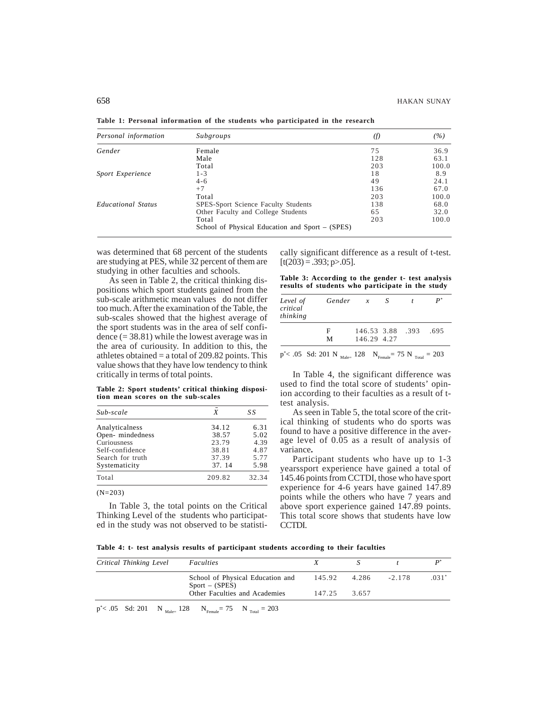| Personal information      | Subgroups                                       | (f) | (%)   |
|---------------------------|-------------------------------------------------|-----|-------|
| Gender                    | Female                                          | 75  | 36.9  |
|                           | Male                                            | 128 | 63.1  |
|                           | Total                                           | 203 | 100.0 |
| <b>Sport Experience</b>   | $1 - 3$                                         | 18  | 8.9   |
|                           | $4 - 6$                                         | 49  | 24.1  |
|                           | $+7$                                            | 136 | 67.0  |
|                           | Total                                           | 203 | 100.0 |
| <b>Educational Status</b> | SPES-Sport Science Faculty Students             | 138 | 68.0  |
|                           | Other Faculty and College Students              | 65  | 32.0  |
|                           | Total                                           | 203 | 100.0 |
|                           | School of Physical Education and Sport – (SPES) |     |       |

**Table 1: Personal information of the students who participated in the research**

was determined that 68 percent of the students are studying at PES, while 32 percent of them are studying in other faculties and schools.

As seen in Table 2, the critical thinking dispositions which sport students gained from the sub-scale arithmetic mean values do not differ too much. After the examination of the Table, the sub-scales showed that the highest average of the sport students was in the area of self confidence  $(= 38.81)$  while the lowest average was in the area of curiousity. In addition to this, the athletes obtained  $=$  a total of 209.82 points. This value shows that they have low tendency to think critically in terms of total points.

**Table 2: Sport students' critical thinking disposition mean scores on the sub-scales**

| Sub-scale        | X      | SS    |  |
|------------------|--------|-------|--|
| Analyticalness   | 34.12  | 6.31  |  |
| Open-mindedness  | 38.57  | 5.02  |  |
| Curiousness      | 23.79  | 4.39  |  |
| Self-confidence  | 38.81  | 4.87  |  |
| Search for truth | 37.39  | 5.77  |  |
| Systematicity    | 37.14  | 5.98  |  |
| Total            | 209.82 | 32.34 |  |
|                  |        |       |  |

(N=203)

In Table 3, the total points on the Critical Thinking Level of the students who participated in the study was not observed to be statistically significant difference as a result of t-test.  $[t(203) = .393; p > .05]$ .

**Table 3: According to the gender t- test analysis results of students who participate in the study**

| Level of<br>critical<br>thinking | Gender x                                                                                         |                  | - S | $P^*$ |
|----------------------------------|--------------------------------------------------------------------------------------------------|------------------|-----|-------|
|                                  | F                                                                                                | 146.53 3.88 .393 |     | .695  |
|                                  | M                                                                                                | 146.29 4.27      |     |       |
|                                  | $p^*$ < .05 Sd: 201 N $_{\text{Male} = 128}$ N $_{\text{Female}} = 75$ N $_{\text{Total}} = 203$ |                  |     |       |

In Table 4, the significant difference was used to find the total score of students' opinion according to their faculties as a result of ttest analysis.

As seen in Table 5, the total score of the critical thinking of students who do sports was found to have a positive difference in the average level of 0.05 as a result of analysis of variance**.**

Participant students who have up to 1-3 yearssport experience have gained a total of 145.46 points from CCTDI, those who have sport experience for 4-6 years have gained 147.89 points while the others who have 7 years and above sport experience gained 147.89 points. This total score shows that students have low CCTDI.

**Table 4: t- test analysis results of participant students according to their faculties**

| Critical Thinking Level | Faculties                                            |              |       |          |      |
|-------------------------|------------------------------------------------------|--------------|-------|----------|------|
|                         | School of Physical Education and<br>$Sport - (SPES)$ | 145.92 4.286 |       | $-2.178$ | .031 |
|                         | Other Faculties and Academies                        | 147.25       | 3.657 |          |      |

 $p^*$  < .05 Sd: 201 N  $_{\text{Male} = 128}$  N  $_{\text{Female}} = 75$  N  $_{\text{Total}} = 203$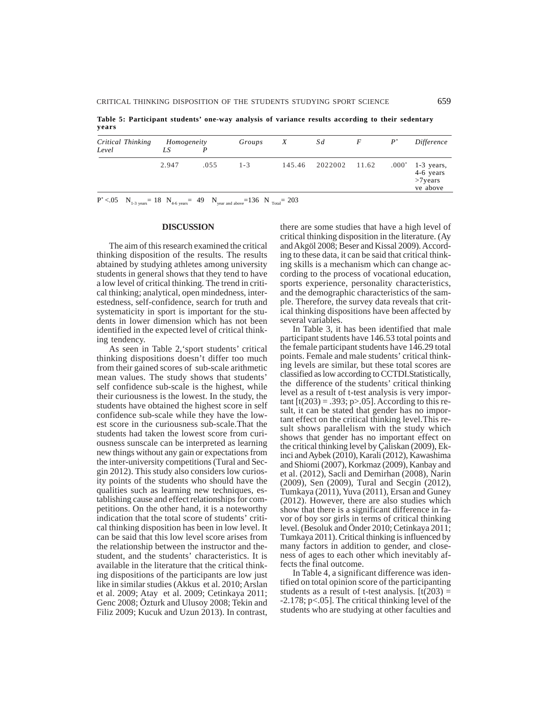**Table 5: Participant students' one-way analysis of variance results according to their sedentary years**

| Critical Thinking<br>Level | Homogeneity<br>LS |      | Groups  | X | Sd                   | F | $P^*$ | Difference                                                 |
|----------------------------|-------------------|------|---------|---|----------------------|---|-------|------------------------------------------------------------|
|                            | 2.947             | .055 | $1 - 3$ |   | 145.46 2022002 11.62 |   |       | $.000^*$ 1-3 years,<br>4-6 years<br>$>7$ years<br>ve above |

 $P^* < .05$   $N_{1-3 \text{ years}} = 18$   $N_{4-6 \text{ years}} = 49$   $N_{year}$  and above  $=136$   $N_{Total} = 203$ 

## **DISCUSSION**

The aim of this research examined the critical thinking disposition of the results. The results abtained by studying athletes among university students in general shows that they tend to have a low level of critical thinking. The trend in critical thinking; analytical, open mindedness, interestedness, self-confidence, search for truth and systematicity in sport is important for the students in lower dimension which has not been identified in the expected level of critical thinking tendency.

As seen in Table 2,'sport students' critical thinking dispositions doesn't differ too much from their gained scores of sub-scale arithmetic mean values. The study shows that students' self confidence sub-scale is the highest, while their curiousness is the lowest. In the study, the students have obtained the highest score in self confidence sub-scale while they have the lowest score in the curiousness sub-scale.That the students had taken the lowest score from curiousness sunscale can be interpreted as learning new things without any gain or expectations from the inter-university competitions (Tural and Secgin 2012). This study also considers low curiosity points of the students who should have the qualities such as learning new techniques, establishing cause and effect relationships for competitions. On the other hand, it is a noteworthy indication that the total score of students' critical thinking disposition has been in low level. It can be said that this low level score arises from the relationship between the instructor and thestudent, and the students' characteristics. It is available in the literature that the critical thinking dispositions of the participants are low just like in similar studies (Akkus et al. 2010; Arslan et al. 2009; Atay et al. 2009; Cetinkaya 2011; Genc 2008; Özturk and Ulusoy 2008; Tekin and Filiz 2009; Kucuk and Uzun 2013). In contrast, there are some studies that have a high level of critical thinking disposition in the literature. (Ay and Akgöl 2008; Beser and Kissal 2009). According to these data, it can be said that critical thinking skills is a mechanism which can change according to the process of vocational education, sports experience, personality characteristics, and the demographic characteristics of the sample. Therefore, the survey data reveals that critical thinking dispositions have been affected by several variables.

In Table 3, it has been identified that male participant students have 146.53 total points and the female participant students have 146.29 total points. Female and male students' critical thinking levels are similar, but these total scores are classified as low according to CCTDI.Statistically, the difference of the students' critical thinking level as a result of t-test analysis is very important  $[t(203) = .393; p > .05]$ . According to this result, it can be stated that gender has no important effect on the critical thinking level.This result shows parallelism with the study which shows that gender has no important effect on the critical thinking level by Çaliskan (2009), Ekinci and Aybek (2010), Karali (2012), Kawashima and Shiomi (2007), Korkmaz (2009), Kanbay and et al. (2012), Sacli and Demirhan (2008), Narin (2009), Sen (2009), Tural and Secgin (2012), Tumkaya (2011), Yuva (2011), Ersan and Guney (2012). However, there are also studies which show that there is a significant difference in favor of boy sor girls in terms of critical thinking level. (Besoluk and Önder 2010; Cetinkaya 2011; Tumkaya 2011). Critical thinking is influenced by many factors in addition to gender, and closeness of ages to each other which inevitably affects the final outcome.

In Table 4, a significant difference was identified on total opinion score of the participanting students as a result of t-test analysis.  $[t(203) =$ -2.178; p<.05]. The critical thinking level of the students who are studying at other faculties and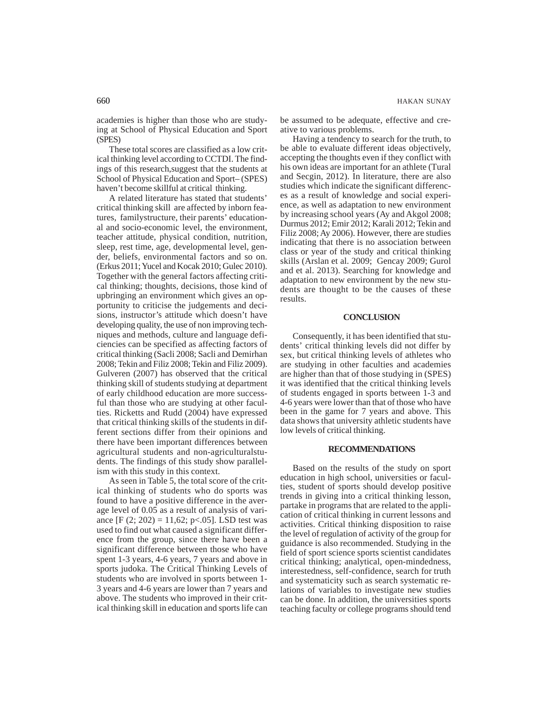academies is higher than those who are studying at School of Physical Education and Sport (SPES)

These total scores are classified as a low critical thinking level according to CCTDI. The findings of this research,suggest that the students at School of Physical Education and Sport– (SPES) haven't become skillful at critical thinking.

A related literature has stated that students' critical thinking skill are affected by inborn features, familystructure, their parents' educational and socio-economic level, the environment, teacher attitude, physical condition, nutrition, sleep, rest time, age, developmental level, gender, beliefs, environmental factors and so on. (Erkus 2011; Yucel and Kocak 2010; Gulec 2010). Together with the general factors affecting critical thinking; thoughts, decisions, those kind of upbringing an environment which gives an opportunity to criticise the judgements and decisions, instructor's attitude which doesn't have developing quality, the use of non improving techniques and methods, culture and language deficiencies can be specified as affecting factors of critical thinking (Sacli 2008; Sacli and Demirhan 2008; Tekin and Filiz 2008; Tekin and Filiz 2009). Gulveren (2007) has observed that the critical thinking skill of students studying at department of early childhood education are more successful than those who are studying at other faculties. Ricketts and Rudd (2004) have expressed that critical thinking skills of the students in different sections differ from their opinions and there have been important differences between agricultural students and non-agriculturalstudents. The findings of this study show parallelism with this study in this context.

As seen in Table 5, the total score of the critical thinking of students who do sports was found to have a positive difference in the average level of 0.05 as a result of analysis of variance [F  $(2; 202) = 11,62; p<0.05$ ]. LSD test was used to find out what caused a significant difference from the group, since there have been a significant difference between those who have spent 1-3 years, 4-6 years, 7 years and above in sports judoka. The Critical Thinking Levels of students who are involved in sports between 1- 3 years and 4-6 years are lower than 7 years and above. The students who improved in their critical thinking skill in education and sports life can be assumed to be adequate, effective and creative to various problems.

Having a tendency to search for the truth, to be able to evaluate different ideas objectively, accepting the thoughts even if they conflict with his own ideas are important for an athlete (Tural and Secgin, 2012). In literature, there are also studies which indicate the significant differences as a result of knowledge and social experience, as well as adaptation to new environment by increasing school years (Ay and Akgol 2008; Durmus 2012; Emir 2012; Karali 2012; Tekin and Filiz 2008; Ay 2006). However, there are studies indicating that there is no association between class or year of the study and critical thinking skills (Arslan et al. 2009; Gencay 2009; Gurol and et al. 2013). Searching for knowledge and adaptation to new environment by the new students are thought to be the causes of these results.

## **CONCLUSION**

Consequently, it has been identified that students' critical thinking levels did not differ by sex, but critical thinking levels of athletes who are studying in other faculties and academies are higher than that of those studying in (SPES) it was identified that the critical thinking levels of students engaged in sports between 1-3 and 4-6 years were lower than that of those who have been in the game for 7 years and above. This data shows that university athletic students have low levels of critical thinking.

## **RECOMMENDATIONS**

Based on the results of the study on sport education in high school, universities or faculties, student of sports should develop positive trends in giving into a critical thinking lesson, partake in programs that are related to the application of critical thinking in current lessons and activities. Critical thinking disposition to raise the level of regulation of activity of the group for guidance is also recommended. Studying in the field of sport science sports scientist candidates critical thinking; analytical, open-mindedness, interestedness, self-confidence, search for truth and systematicity such as search systematic relations of variables to investigate new studies can be done. In addition, the universities sports teaching faculty or college programs should tend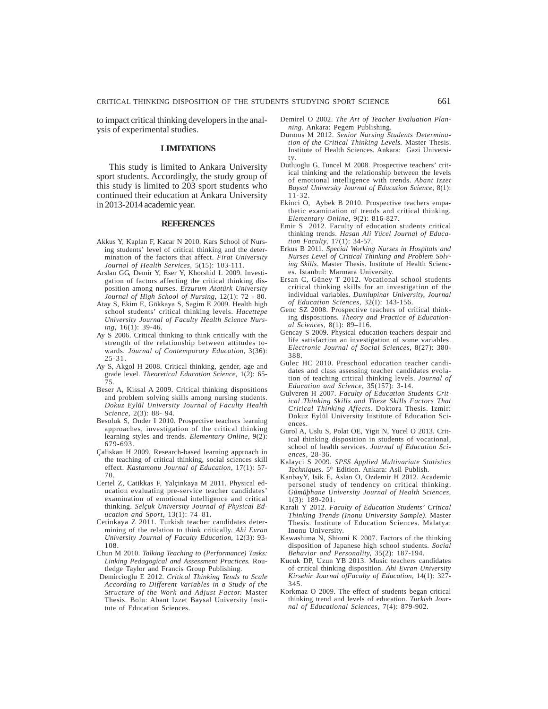to impact critical thinking developers in the analysis of experimental studies.

## **LIMITATIONS**

This study is limited to Ankara University sport students. Accordingly, the study group of this study is limited to 203 sport students who continued their education at Ankara University in 2013-2014 academic year.

## **REFERENCES**

- Akkus Y, Kaplan F, Kacar N 2010. Kars School of Nursing students' level of critical thinking and the determination of the factors that affect. *Firat University Journal of Health Services,* 5(15): 103-111.
- Arslan GG, Demir Y, Eser Y, Khorshid L 2009. Investigation of factors affecting the critical thinking disposition among nurses. *Erzurum Atatürk University Journal of High School of Nursing*, 12(1): 72 - 80.
- Atay S, Ekim E, Gökkaya S, Sagim E 2009. Health high school students' critical thinking levels. *Hacettepe University Journal of Faculty Health Science Nursing*, 16(1): 39-46.
- Ay S 2006. Critical thinking to think critically with the strength of the relationship between attitudes towards. *Journal of Contemporary Education*, 3(36): 25-31.
- Ay S, Akgol H 2008. Critical thinking, gender, age and grade level. *Theoretical Education Science,* 1(2): 65- 75.
- Beser A, Kissal A 2009. Critical thinking dispositions and problem solving skills among nursing students. *Dokuz Eylül University Journal of Faculty Health Science*, 2(3): 88- 94.
- Besoluk S, Onder I 2010. Prospective teachers learning approaches, investigation of the critical thinking learning styles and trends. *Elementary Online*, 9(2): 679-693.
- Çaliskan H 2009. Research-based learning approach in the teaching of critical thinking, social sciences skill effect. *Kastamonu Journal of Education*, 17(1): 57- 70.
- Certel Z, Catikkas F, Yalçinkaya M 2011. Physical education evaluating pre-service teacher candidates' examination of emotional intelligence and critical thinking. *Selçuk University Journal of Physical Education and Sport*, 13(1): 74–81.
- Cetinkaya Z 2011. Turkish teacher candidates determining of the relation to think critically. *Ahi Evran University Journal of Faculty Education*, 12(3): 93- 108.
- Chun M 2010. *Talking Teaching to (Performance) Tasks: Linking Pedagogical and Assessment Practices.* Routledge Taylor and Francis Group Publishing.
- Demircioglu E 2012. *Critical Thinking Tends to Scale According to Different Variables in a Study of the Structure of the Work and Adjust Factor.* Master Thesis. Bolu: Abant Izzet Baysal University Institute of Education Sciences.
- Demirel O 2002. *The Art of Teacher Evaluation Planning.* Ankara: Pegem Publishing.
- Durmus M 2012. *Senior Nursing Students Determination of the Critical Thinking Levels.* Master Thesis. Institute of Health Sciences. Ankara: Gazi University.
- Dutluoglu G, Tuncel M 2008. Prospective teachers' critical thinking and the relationship between the levels of emotional intelligence with trends. *Abant Izzet Baysal University Journal of Education Science,* 8(1): 11-32.
- Ekinci O, Aybek B 2010. Prospective teachers empathetic examination of trends and critical thinking*. Elementary Online,* 9(2): 816-827.
- Emir S 2012. Faculty of education students critical thinking trends. *Hasan Ali Yücel Journal of Education Faculty,* 17(1): 34-57.
- Erkus B 2011. *Special Working Nurses in Hospitals and Nurses Level of Critical Thinking and Problem Solving Skills*. Master Thesis. Institute of Health Sciences. Istanbul: Marmara University.
- Ersan C, Güney T 2012. Vocational school students critical thinking skills for an investigation of the individual variables. *Dumlupinar University, Journal of Education Sciences,* 32(I): 143-156.
- Genc SZ 2008. Prospective teachers of critical thinking dispositions*. Theory and Practice of Educational Sciences,* 8(1): 89–116.
- Gencay S 2009. Physical education teachers despair and life satisfaction an investigation of some variables. *Electronic Journal of Social Sciences*, 8(27): 380- 388.
- Gulec HC 2010. Preschool education teacher candidates and class assessing teacher candidates evolation of teaching critical thinking levels. *Journal of Education and Science*, 35(157): 3-14.
- Gulveren H 2007. *Faculty of Education Students Critical Thinking Skills and These Skills Factors That Critical Thinking Affects.* Doktora Thesis. Izmir: Dokuz Eylül University Institute of Education Sciences.
- Gurol A, Uslu S, Polat ÖE, Yigit N, Yucel O 2013. Critical thinking disposition in students of vocational, school of health services. *Journal of Education Sciences*, 28-36.
- Kalayci S 2009. *SPSS Applied Multivariate Statistics Techniques.* 5th Edition. Ankara: Asil Publish.
- KanbayY, Isik E, Aslan O, Ozdemir H 2012. Academic personel study of tendency on critical thinking. *Gümüþhane University Journal of Health Sciences*, 1(3): 189-201.
- Karali Y 2012. *Faculty of Education Students' Critical Thinking Trends (Inonu University Sample).* Master Thesis. Institute of Education Sciences. Malatya: Inonu University.
- Kawashima N, Shiomi K 2007. Factors of the thinking disposition of Japanese high school students*. Social Behavior and Personality,* 35(2): 187-194.
- Kucuk DP, Uzun YB 2013. Music teachers candidates of critical thinking disposition. *Ahi Evran University Kirsehir Journal ofFaculty of Education,* 14(1): 327- 345.
- Korkmaz O 2009. The effect of students began critical thinking trend and levels of education. *Turkish Journal of Educational Sciences*, 7(4): 879-902.